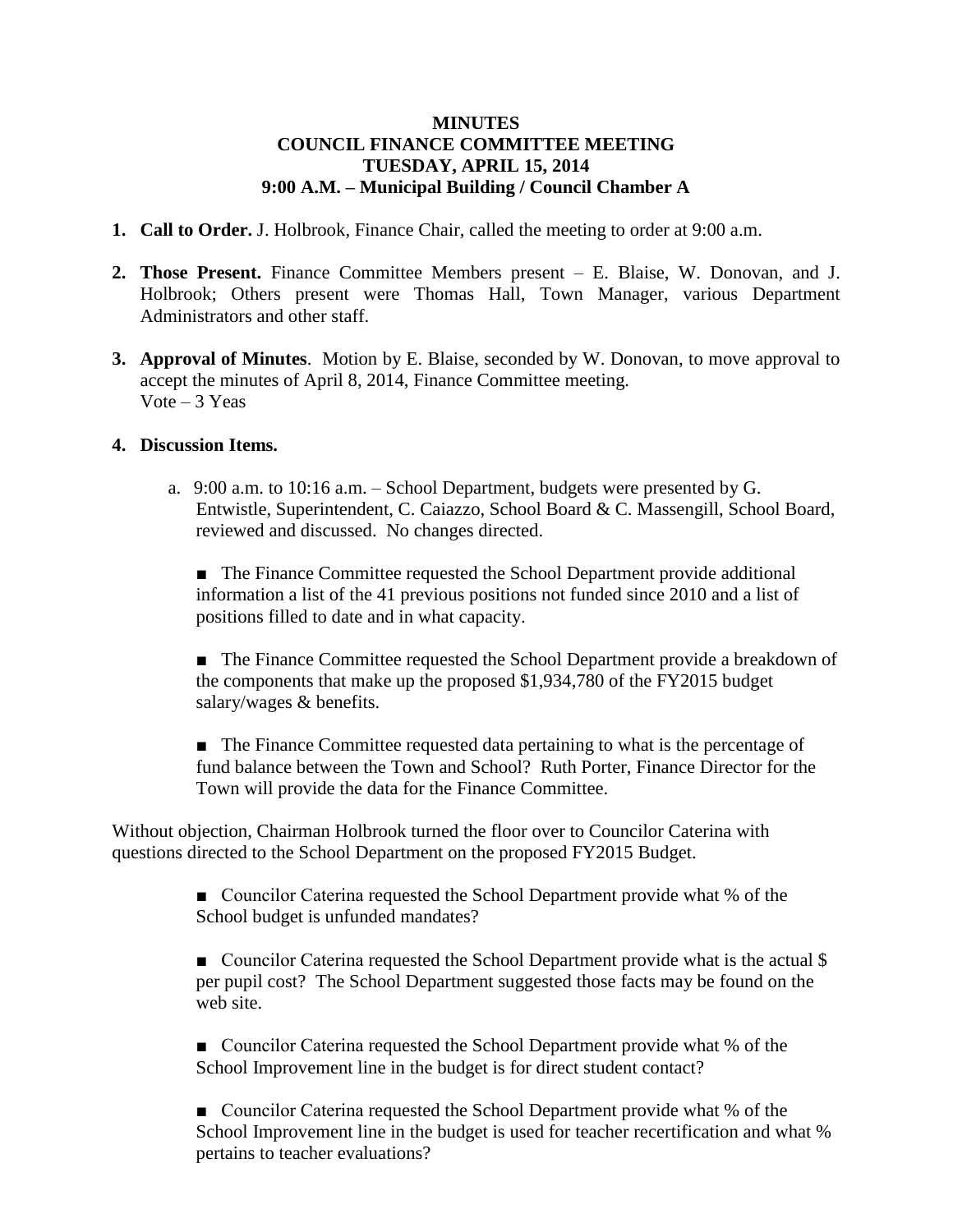## **MINUTES COUNCIL FINANCE COMMITTEE MEETING TUESDAY, APRIL 15, 2014 9:00 A.M. – Municipal Building / Council Chamber A**

- **1. Call to Order.** J. Holbrook, Finance Chair, called the meeting to order at 9:00 a.m.
- **2. Those Present.** Finance Committee Members present E. Blaise, W. Donovan, and J. Holbrook; Others present were Thomas Hall, Town Manager, various Department Administrators and other staff.
- **3. Approval of Minutes**. Motion by E. Blaise, seconded by W. Donovan, to move approval to accept the minutes of April 8, 2014, Finance Committee meeting. Vote  $-3$  Yeas

## **4. Discussion Items.**

a. 9:00 a.m. to 10:16 a.m. – School Department, budgets were presented by G. Entwistle, Superintendent, C. Caiazzo, School Board & C. Massengill, School Board, reviewed and discussed. No changes directed.

■ The Finance Committee requested the School Department provide additional information a list of the 41 previous positions not funded since 2010 and a list of positions filled to date and in what capacity.

■ The Finance Committee requested the School Department provide a breakdown of the components that make up the proposed \$1,934,780 of the FY2015 budget salary/wages & benefits.

■ The Finance Committee requested data pertaining to what is the percentage of fund balance between the Town and School? Ruth Porter, Finance Director for the Town will provide the data for the Finance Committee.

Without objection, Chairman Holbrook turned the floor over to Councilor Caterina with questions directed to the School Department on the proposed FY2015 Budget.

> ■ Councilor Caterina requested the School Department provide what % of the School budget is unfunded mandates?

■ Councilor Caterina requested the School Department provide what is the actual \\$ per pupil cost? The School Department suggested those facts may be found on the web site.

■ Councilor Caterina requested the School Department provide what % of the School Improvement line in the budget is for direct student contact?

■ Councilor Caterina requested the School Department provide what % of the School Improvement line in the budget is used for teacher recertification and what % pertains to teacher evaluations?